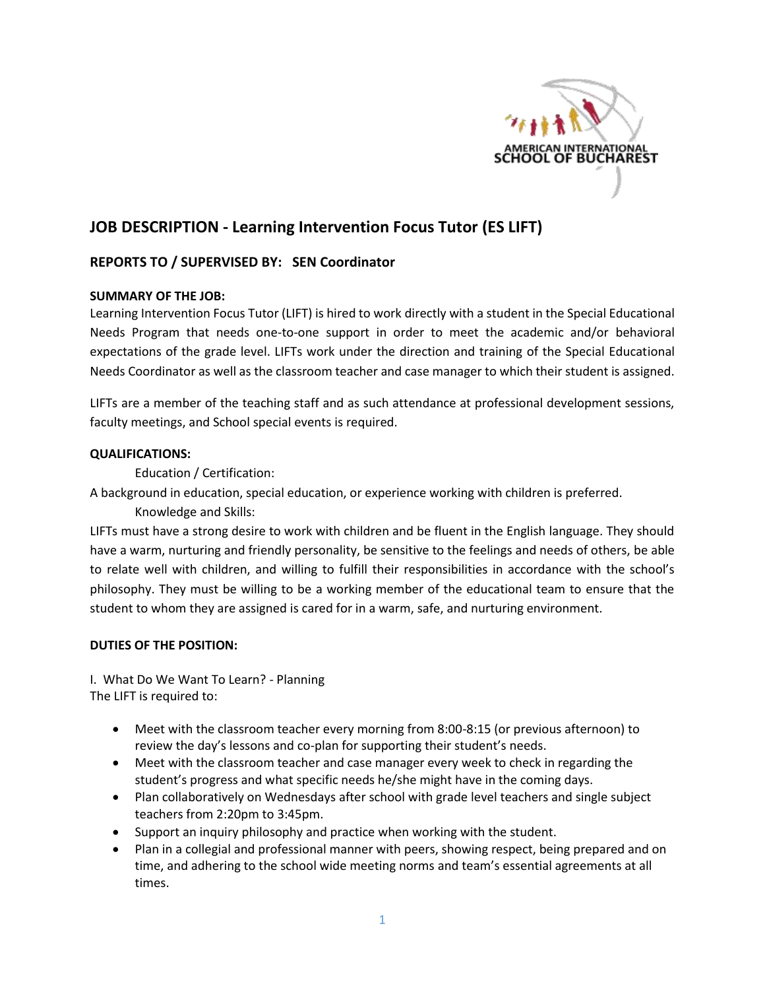

# **JOB DESCRIPTION - Learning Intervention Focus Tutor (ES LIFT)**

# **REPORTS TO / SUPERVISED BY: SEN Coordinator**

### **SUMMARY OF THE JOB:**

Learning Intervention Focus Tutor (LIFT) is hired to work directly with a student in the Special Educational Needs Program that needs one-to-one support in order to meet the academic and/or behavioral expectations of the grade level. LIFTs work under the direction and training of the Special Educational Needs Coordinator as well as the classroom teacher and case manager to which their student is assigned.

LIFTs are a member of the teaching staff and as such attendance at professional development sessions, faculty meetings, and School special events is required.

#### **QUALIFICATIONS:**

Education / Certification:

A background in education, special education, or experience working with children is preferred.

Knowledge and Skills:

LIFTs must have a strong desire to work with children and be fluent in the English language. They should have a warm, nurturing and friendly personality, be sensitive to the feelings and needs of others, be able to relate well with children, and willing to fulfill their responsibilities in accordance with the school's philosophy. They must be willing to be a working member of the educational team to ensure that the student to whom they are assigned is cared for in a warm, safe, and nurturing environment.

#### **DUTIES OF THE POSITION:**

I. What Do We Want To Learn? - Planning The LIFT is required to:

- Meet with the classroom teacher every morning from 8:00-8:15 (or previous afternoon) to review the day's lessons and co-plan for supporting their student's needs.
- Meet with the classroom teacher and case manager every week to check in regarding the student's progress and what specific needs he/she might have in the coming days.
- Plan collaboratively on Wednesdays after school with grade level teachers and single subject teachers from 2:20pm to 3:45pm.
- Support an inquiry philosophy and practice when working with the student.
- Plan in a collegial and professional manner with peers, showing respect, being prepared and on time, and adhering to the school wide meeting norms and team's essential agreements at all times.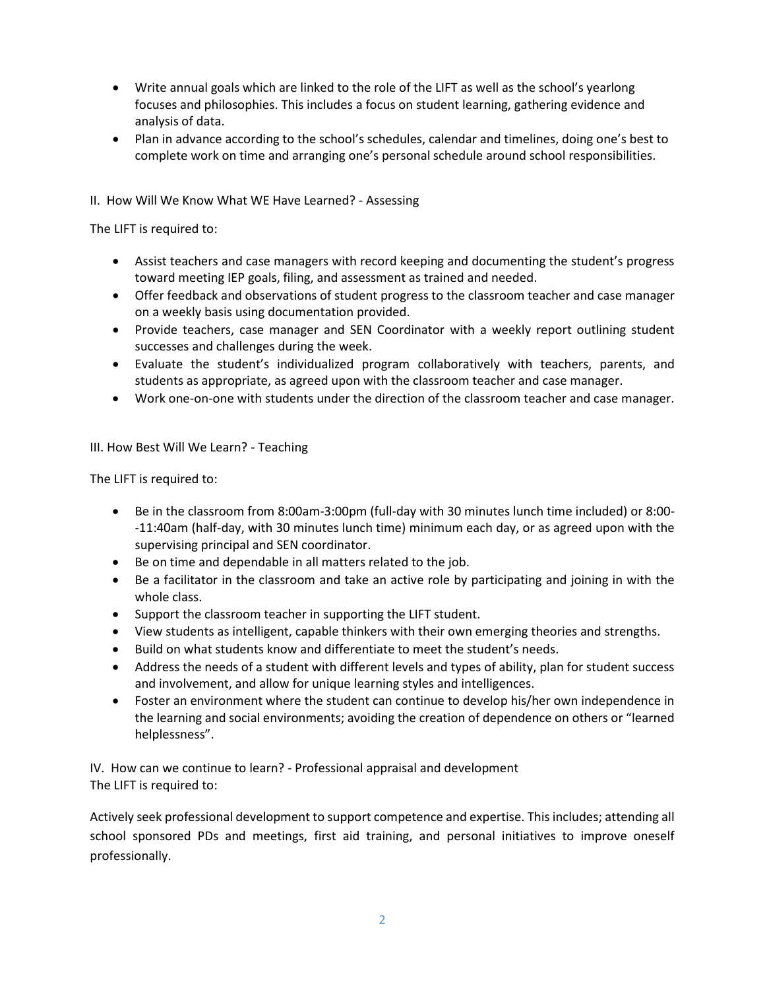- Write annual goals which are linked to the role of the LIFT as well as the school's yearlong focuses and philosophies. This includes a focus on student learning, gathering evidence and analysis of data.
- Plan in advance according to the school's schedules, calendar and timelines, doing one's best to complete work on time and arranging one's personal schedule around school responsibilities.

### II. How Will We Know What WE Have Learned? - Assessing

The LIFT is required to:

- Assist teachers and case managers with record keeping and documenting the student's progress toward meeting IEP goals, filing, and assessment as trained and needed.
- Offer feedback and observations of student progress to the classroom teacher and case manager on a weekly basis using documentation provided.
- Provide teachers, case manager and SEN Coordinator with a weekly report outlining student successes and challenges during the week.
- Evaluate the student's individualized program collaboratively with teachers, parents, and students as appropriate, as agreed upon with the classroom teacher and case manager.
- Work one-on-one with students under the direction of the classroom teacher and case manager.

#### III. How Best Will We Learn? - Teaching

The LIFT is required to:

- Be in the classroom from 8:00am-3:00pm (full-day with 30 minutes lunch time included) or 8:00- -11:40am (half-day, with 30 minutes lunch time) minimum each day, or as agreed upon with the supervising principal and SEN coordinator.
- Be on time and dependable in all matters related to the job.
- Be a facilitator in the classroom and take an active role by participating and joining in with the whole class.
- Support the classroom teacher in supporting the LIFT student.
- View students as intelligent, capable thinkers with their own emerging theories and strengths.
- Build on what students know and differentiate to meet the student's needs.
- Address the needs of a student with different levels and types of ability, plan for student success and involvement, and allow for unique learning styles and intelligences.
- Foster an environment where the student can continue to develop his/her own independence in the learning and social environments; avoiding the creation of dependence on others or "learned helplessness".

IV. How can we continue to learn? - Professional appraisal and development The LIFT is required to:

Actively seek professional development to support competence and expertise. This includes; attending all school sponsored PDs and meetings, first aid training, and personal initiatives to improve oneself professionally.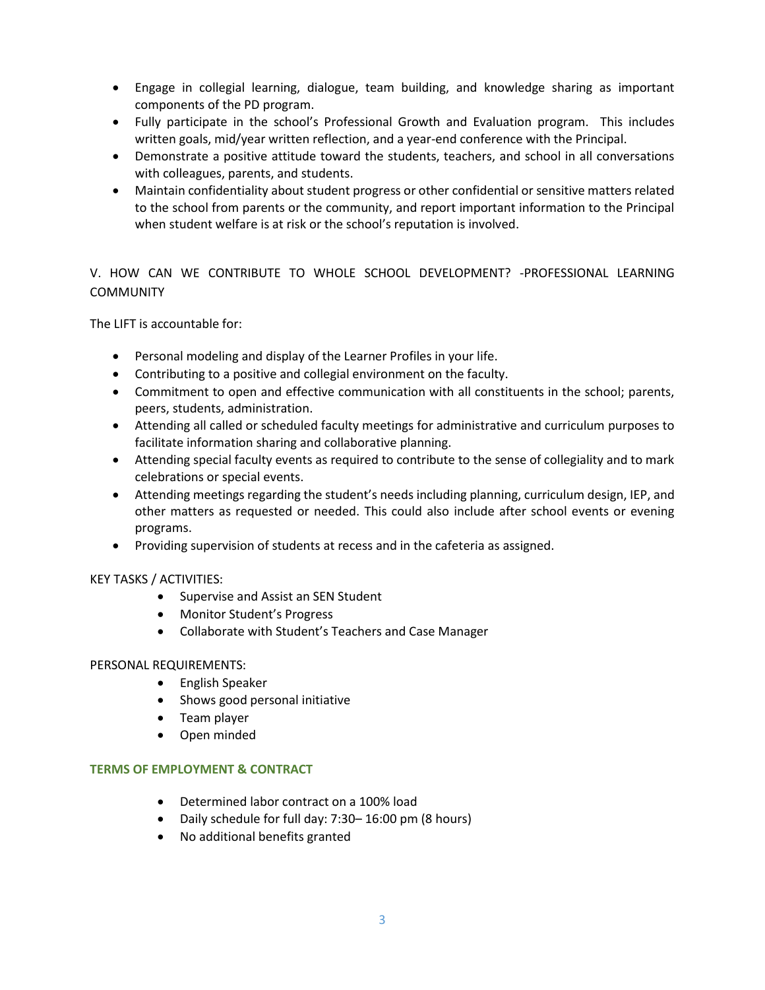- Engage in collegial learning, dialogue, team building, and knowledge sharing as important components of the PD program.
- Fully participate in the school's Professional Growth and Evaluation program. This includes written goals, mid/year written reflection, and a year-end conference with the Principal.
- Demonstrate a positive attitude toward the students, teachers, and school in all conversations with colleagues, parents, and students.
- Maintain confidentiality about student progress or other confidential or sensitive matters related to the school from parents or the community, and report important information to the Principal when student welfare is at risk or the school's reputation is involved.

# V. HOW CAN WE CONTRIBUTE TO WHOLE SCHOOL DEVELOPMENT? -PROFESSIONAL LEARNING **COMMUNITY**

The LIFT is accountable for:

- Personal modeling and display of the Learner Profiles in your life.
- Contributing to a positive and collegial environment on the faculty.
- Commitment to open and effective communication with all constituents in the school; parents, peers, students, administration.
- Attending all called or scheduled faculty meetings for administrative and curriculum purposes to facilitate information sharing and collaborative planning.
- Attending special faculty events as required to contribute to the sense of collegiality and to mark celebrations or special events.
- Attending meetings regarding the student's needs including planning, curriculum design, IEP, and other matters as requested or needed. This could also include after school events or evening programs.
- Providing supervision of students at recess and in the cafeteria as assigned.

## KEY TASKS / ACTIVITIES:

- Supervise and Assist an SEN Student
- Monitor Student's Progress
- Collaborate with Student's Teachers and Case Manager

## PERSONAL REQUIREMENTS:

- English Speaker
- Shows good personal initiative
- Team player
- Open minded

#### **TERMS OF EMPLOYMENT & CONTRACT**

- Determined labor contract on a 100% load
- Daily schedule for full day: 7:30– 16:00 pm (8 hours)
- No additional benefits granted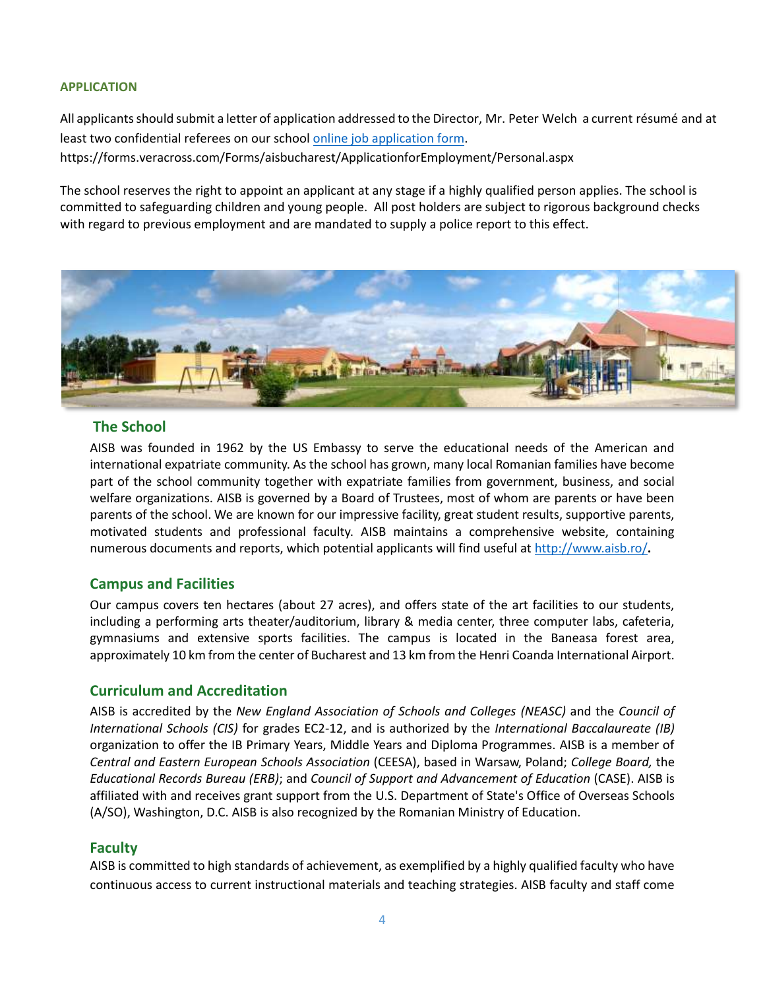#### **APPLICATION**

All applicants should submit a letter of application addressed to the Director, Mr. Peter Welch a current résumé and at least two confidential referees on our school online job application form. https://forms.veracross.com/Forms/aisbucharest/ApplicationforEmployment/Personal.aspx

The school reserves the right to appoint an applicant at any stage if a highly qualified person applies. The school is committed to safeguarding children and young people. All post holders are subject to rigorous background checks with regard to previous employment and are mandated to supply a police report to this effect.



### **The School**

AISB was founded in 1962 by the US Embassy to serve the educational needs of the American and international expatriate community. As the school has grown, many local Romanian families have become part of the school community together with expatriate families from government, business, and social welfare organizations. AISB is governed by a Board of Trustees, most of whom are parents or have been parents of the school. We are known for our impressive facility, great student results, supportive parents, motivated students and professional faculty. AISB maintains a comprehensive website, containing numerous documents and reports, which potential applicants will find useful at http://www.aisb.ro/**.**

## **Campus and Facilities**

Our campus covers ten hectares (about 27 acres), and offers state of the art facilities to our students, including a performing arts theater/auditorium, library & media center, three computer labs, cafeteria, gymnasiums and extensive sports facilities. The campus is located in the Baneasa forest area, approximately 10 km from the center of Bucharest and 13 km from the Henri Coanda International Airport.

#### **Curriculum and Accreditation**

AISB is accredited by the *New England Association of Schools and Colleges (NEASC)* and the *Council of International Schools (CIS)* for grades EC2-12, and is authorized by the *International Baccalaureate (IB)*  organization to offer the IB Primary Years, Middle Years and Diploma Programmes. AISB is a member of *Central and Eastern European Schools Association* (CEESA), based in Warsaw, Poland; *College Board,* the *Educational Records Bureau (ERB)*; and *Council of Support and Advancement of Education* (CASE). AISB is affiliated with and receives grant support from the U.S. Department of State's Office of Overseas Schools (A/SO), Washington, D.C. AISB is also recognized by the Romanian Ministry of Education.

#### **Faculty**

AISB is committed to high standards of achievement, as exemplified by a highly qualified faculty who have continuous access to current instructional materials and teaching strategies. AISB faculty and staff come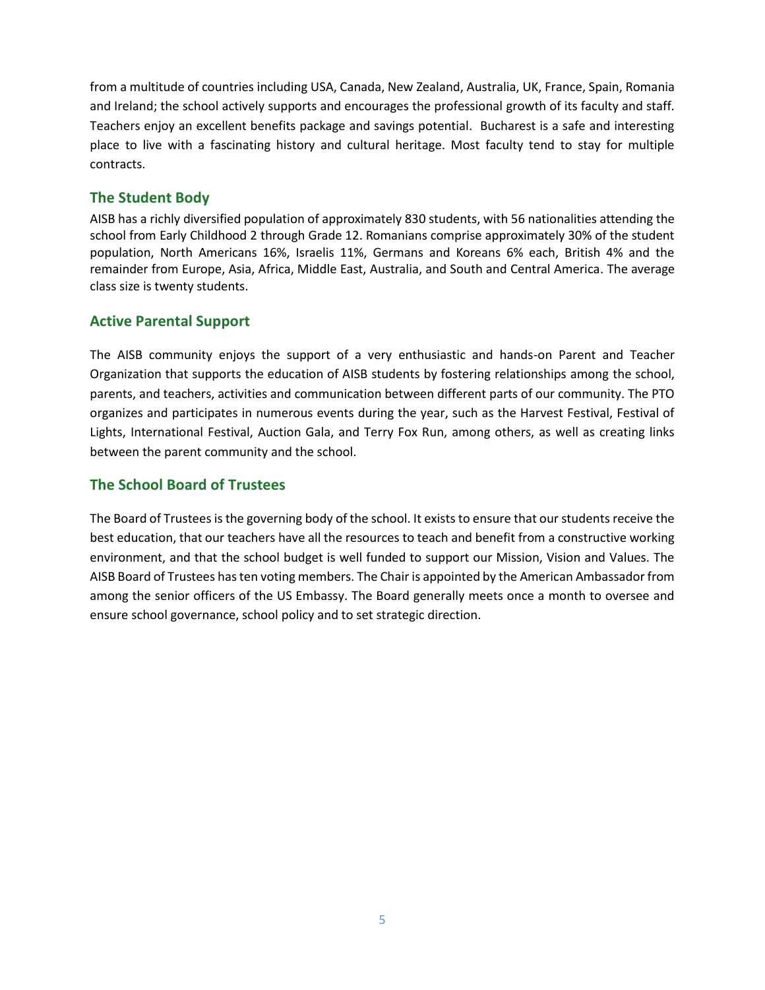from a multitude of countries including USA, Canada, New Zealand, Australia, UK, France, Spain, Romania and Ireland; the school actively supports and encourages the professional growth of its faculty and staff. Teachers enjoy an excellent benefits package and savings potential. Bucharest is a safe and interesting place to live with a fascinating history and cultural heritage. Most faculty tend to stay for multiple contracts.

# **The Student Body**

AISB has a richly diversified population of approximately 830 students, with 56 nationalities attending the school from Early Childhood 2 through Grade 12. Romanians comprise approximately 30% of the student population, North Americans 16%, Israelis 11%, Germans and Koreans 6% each, British 4% and the remainder from Europe, Asia, Africa, Middle East, Australia, and South and Central America. The average class size is twenty students.

# **Active Parental Support**

The AISB community enjoys the support of a very enthusiastic and hands-on Parent and Teacher Organization that supports the education of AISB students by fostering relationships among the school, parents, and teachers, activities and communication between different parts of our community. The PTO organizes and participates in numerous events during the year, such as the Harvest Festival, Festival of Lights, International Festival, Auction Gala, and Terry Fox Run, among others, as well as creating links between the parent community and the school.

# **The School Board of Trustees**

The Board of Trustees is the governing body of the school. It exists to ensure that our students receive the best education, that our teachers have all the resources to teach and benefit from a constructive working environment, and that the school budget is well funded to support our Mission, Vision and Values. The AISB Board of Trustees has ten voting members. The Chair is appointed by the American Ambassador from among the senior officers of the US Embassy. The Board generally meets once a month to oversee and ensure school governance, school policy and to set strategic direction.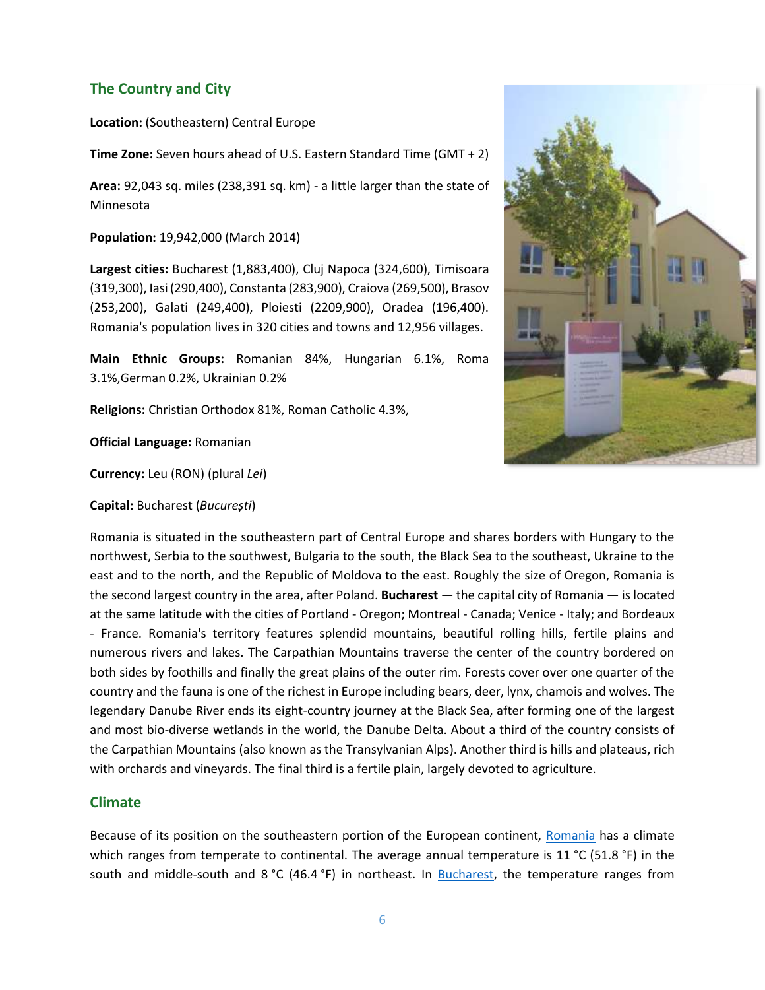# **The Country and City**

**Location:** (Southeastern) Central Europe

**Time Zone:** Seven hours ahead of U.S. Eastern Standard Time (GMT + 2)

**Area:** 92,043 sq. miles (238,391 sq. km) - a little larger than the state of Minnesota

**Population:** 19,942,000 (March 2014)

**Largest cities:** Bucharest (1,883,400), Cluj Napoca (324,600), Timisoara (319,300), Iasi (290,400), Constanta (283,900), Craiova (269,500), Brasov (253,200), Galati (249,400), Ploiesti (2209,900), Oradea (196,400). Romania's population lives in 320 cities and towns and 12,956 villages.

**Main Ethnic Groups:** Romanian 84%, Hungarian 6.1%, Roma 3.1%,German 0.2%, Ukrainian 0.2%

**Religions:** Christian Orthodox 81%, Roman Catholic 4.3%,

**Official Language:** Romanian

**Currency:** Leu (RON) (plural *Lei*)

**Capital:** Bucharest (*București*)



Romania is situated in the southeastern part of Central Europe and shares borders with Hungary to the northwest, Serbia to the southwest, Bulgaria to the south, the Black Sea to the southeast, Ukraine to the east and to the north, and the Republic of Moldova to the east. Roughly the size of Oregon, Romania is the second largest country in the area, after Poland. **Bucharest** — the capital city of Romania — is located at the same latitude with the cities of Portland - Oregon; Montreal - Canada; Venice - Italy; and Bordeaux - France. Romania's territory features splendid mountains, beautiful rolling hills, fertile plains and numerous rivers and lakes. The Carpathian Mountains traverse the center of the country bordered on both sides by foothills and finally the great plains of the outer rim. Forests cover over one quarter of the country and the fauna is one of the richest in Europe including bears, deer, lynx, chamois and wolves. The legendary Danube River ends its eight-country journey at the Black Sea, after forming one of the largest and most bio-diverse wetlands in the world, the Danube Delta. About a third of the country consists of the Carpathian Mountains (also known as the Transylvanian Alps). Another third is hills and plateaus, rich with orchards and vineyards. The final third is a fertile plain, largely devoted to agriculture.

## **Climate**

Because of its position on the southeastern portion of the European continent, Romania has a climate which ranges from temperate to continental. The average annual temperature is 11 °C (51.8 °F) in the south and middle-south and 8 °C (46.4 °F) in northeast. In Bucharest, the temperature ranges from